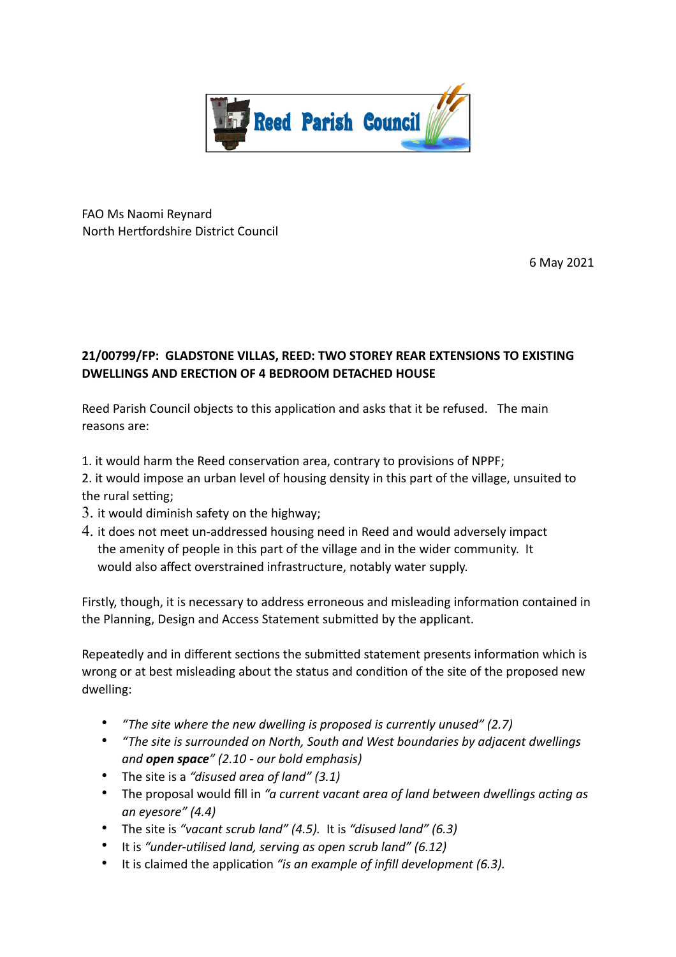

FAO Ms Naomi Reynard North Hertfordshire District Council

6 May 2021

# **21/00799/FP: GLADSTONE VILLAS, REED: TWO STOREY REAR EXTENSIONS TO EXISTING DWELLINGS AND ERECTION OF 4 BEDROOM DETACHED HOUSE**

Reed Parish Council objects to this application and asks that it be refused. The main reasons are:

- 1. it would harm the Reed conservation area, contrary to provisions of NPPF;
- 2. it would impose an urban level of housing density in this part of the village, unsuited to the rural setting;
- 3. it would diminish safety on the highway;
- 4. it does not meet un-addressed housing need in Reed and would adversely impact the amenity of people in this part of the village and in the wider community. It would also affect overstrained infrastructure, notably water supply.

Firstly, though, it is necessary to address erroneous and misleading information contained in the Planning, Design and Access Statement submitted by the applicant.

Repeatedly and in different sections the submitted statement presents information which is wrong or at best misleading about the status and condition of the site of the proposed new dwelling:

- *"The site where the new dwelling is proposed is currently unused" (2.7)*
- *"The site is surrounded on North, South and West boundaries by adjacent dwellings and open space" (2.10 - our bold emphasis)*
- The site is a *"disused area of land" (3.1)*
- The proposal would fill in "a current vacant area of land between dwellings acting as *an eyesore" (4.4)*
- The site is *"vacant scrub land" (4.5).* It is *"disused land" (6.3)*
- It is "under-utilised land, serving as open scrub land" (6.12)
- It is claimed the application "is an example of *infill development (6.3)*.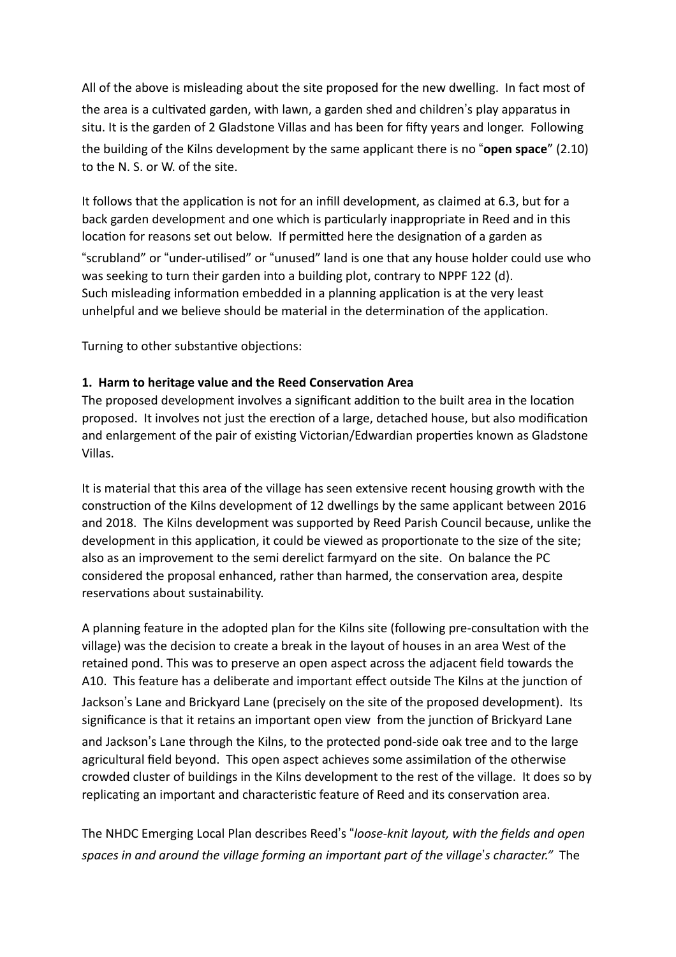All of the above is misleading about the site proposed for the new dwelling. In fact most of the area is a cultivated garden, with lawn, a garden shed and children's play apparatus in situ. It is the garden of 2 Gladstone Villas and has been for fifty years and longer. Following the building of the Kilns development by the same applicant there is no "**open space**" (2.10) to the N. S. or W. of the site.

It follows that the application is not for an infill development, as claimed at 6.3, but for a back garden development and one which is particularly inappropriate in Reed and in this location for reasons set out below. If permitted here the designation of a garden as "scrubland" or "under-utilised" or "unused" land is one that any house holder could use who was seeking to turn their garden into a building plot, contrary to NPPF 122 (d). Such misleading information embedded in a planning application is at the very least unhelpful and we believe should be material in the determination of the application.

Turning to other substantive objections:

# **1. Harm to heritage value and the Reed Conservation Area**

The proposed development involves a significant addition to the built area in the location proposed. It involves not just the erection of a large, detached house, but also modification and enlargement of the pair of existing Victorian/Edwardian properties known as Gladstone Villas.

It is material that this area of the village has seen extensive recent housing growth with the construction of the Kilns development of 12 dwellings by the same applicant between 2016 and 2018. The Kilns development was supported by Reed Parish Council because, unlike the development in this application, it could be viewed as proportionate to the size of the site; also as an improvement to the semi derelict farmyard on the site. On balance the PC considered the proposal enhanced, rather than harmed, the conservation area, despite reservations about sustainability.

A planning feature in the adopted plan for the Kilns site (following pre-consultation with the village) was the decision to create a break in the layout of houses in an area West of the retained pond. This was to preserve an open aspect across the adjacent field towards the A10. This feature has a deliberate and important effect outside The Kilns at the junction of Jackson's Lane and Brickyard Lane (precisely on the site of the proposed development). Its significance is that it retains an important open view from the junction of Brickyard Lane and Jackson's Lane through the Kilns, to the protected pond-side oak tree and to the large agricultural field beyond. This open aspect achieves some assimilation of the otherwise crowded cluster of buildings in the Kilns development to the rest of the village. It does so by replicating an important and characteristic feature of Reed and its conservation area.

The NHDC Emerging Local Plan describes Reed's "*loose-knit layout, with the fields and open spaces in and around the village forming an important part of the village's character.*" The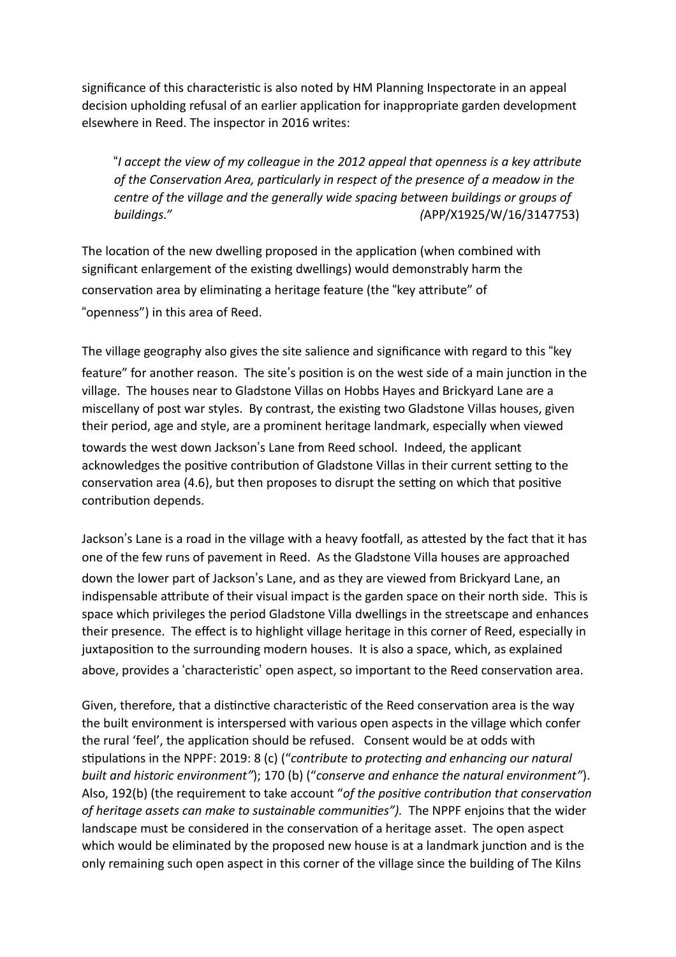significance of this characteristic is also noted by HM Planning Inspectorate in an appeal decision upholding refusal of an earlier application for inappropriate garden development elsewhere in Reed. The inspector in 2016 writes:

"I accept the view of my colleague in the 2012 appeal that openness is a key attribute of the Conservation Area, particularly in respect of the presence of a meadow in the *centre of the village and the generally wide spacing between buildings or groups of buildings." (*APP/X1925/W/16/3147753)

The location of the new dwelling proposed in the application (when combined with significant enlargement of the existing dwellings) would demonstrably harm the conservation area by eliminating a heritage feature (the "key attribute" of "openness") in this area of Reed.

The village geography also gives the site salience and significance with regard to this "key feature" for another reason. The site's position is on the west side of a main junction in the village. The houses near to Gladstone Villas on Hobbs Hayes and Brickyard Lane are a miscellany of post war styles. By contrast, the existing two Gladstone Villas houses, given their period, age and style, are a prominent heritage landmark, especially when viewed towards the west down Jackson's Lane from Reed school. Indeed, the applicant acknowledges the positive contribution of Gladstone Villas in their current setting to the conservation area (4.6), but then proposes to disrupt the setting on which that positive contribution depends.

Jackson's Lane is a road in the village with a heavy footfall, as attested by the fact that it has one of the few runs of pavement in Reed. As the Gladstone Villa houses are approached down the lower part of Jackson's Lane, and as they are viewed from Brickyard Lane, an indispensable attribute of their visual impact is the garden space on their north side. This is space which privileges the period Gladstone Villa dwellings in the streetscape and enhances their presence. The effect is to highlight village heritage in this corner of Reed, especially in juxtaposition to the surrounding modern houses. It is also a space, which, as explained above, provides a 'characteristic' open aspect, so important to the Reed conservation area.

Given, therefore, that a distinctive characteristic of the Reed conservation area is the way the built environment is interspersed with various open aspects in the village which confer the rural 'feel', the application should be refused. Consent would be at odds with stipulations in the NPPF: 2019: 8 (c) ("contribute to protecting and enhancing our natural *built and historic environment"*); 170 (b) ("*conserve and enhance the natural environment"*). Also, 192(b) (the requirement to take account "of the positive contribution that conservation of heritage assets can make to sustainable communities"). The NPPF enjoins that the wider landscape must be considered in the conservation of a heritage asset. The open aspect which would be eliminated by the proposed new house is at a landmark junction and is the only remaining such open aspect in this corner of the village since the building of The Kilns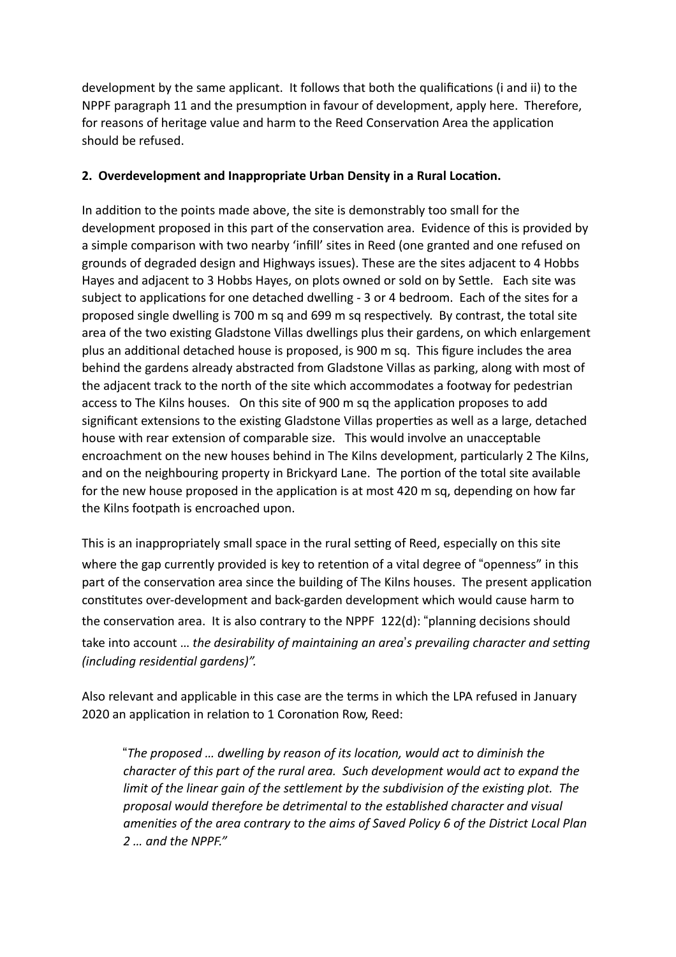development by the same applicant. It follows that both the qualifications (i and ii) to the NPPF paragraph 11 and the presumption in favour of development, apply here. Therefore, for reasons of heritage value and harm to the Reed Conservation Area the application should be refused.

# **2. Overdevelopment and Inappropriate Urban Density in a Rural Location.**

In addition to the points made above, the site is demonstrably too small for the development proposed in this part of the conservation area. Evidence of this is provided by a simple comparison with two nearby 'infill' sites in Reed (one granted and one refused on grounds of degraded design and Highways issues). These are the sites adjacent to 4 Hobbs Hayes and adjacent to 3 Hobbs Hayes, on plots owned or sold on by Settle. Each site was subject to applications for one detached dwelling - 3 or 4 bedroom. Each of the sites for a proposed single dwelling is 700 m sq and 699 m sq respectively. By contrast, the total site area of the two existing Gladstone Villas dwellings plus their gardens, on which enlargement plus an additional detached house is proposed, is 900 m sq. This figure includes the area behind the gardens already abstracted from Gladstone Villas as parking, along with most of the adjacent track to the north of the site which accommodates a footway for pedestrian access to The Kilns houses. On this site of 900 m sq the application proposes to add significant extensions to the existing Gladstone Villas properties as well as a large, detached house with rear extension of comparable size. This would involve an unacceptable encroachment on the new houses behind in The Kilns development, particularly 2 The Kilns, and on the neighbouring property in Brickyard Lane. The portion of the total site available for the new house proposed in the application is at most 420 m sq, depending on how far the Kilns footpath is encroached upon.

This is an inappropriately small space in the rural setting of Reed, especially on this site where the gap currently provided is key to retention of a vital degree of "openness" in this part of the conservation area since the building of The Kilns houses. The present application constitutes over-development and back-garden development which would cause harm to the conservation area. It is also contrary to the NPPF  $122(d)$ : "planning decisions should take into account ... the desirability of maintaining an area's prevailing character and setting *(including residential gardens)".* 

Also relevant and applicable in this case are the terms in which the LPA refused in January 2020 an application in relation to 1 Coronation Row, Reed:

"The proposed ... dwelling by reason of its location, would act to diminish the *character of this part of the rural area. Such development would act to expand the limit of the linear gain of the settlement by the subdivision of the existing plot. The proposal would therefore be detrimental to the established character and visual amenities of the area contrary to the aims of Saved Policy 6 of the District Local Plan 2 … and the NPPF."*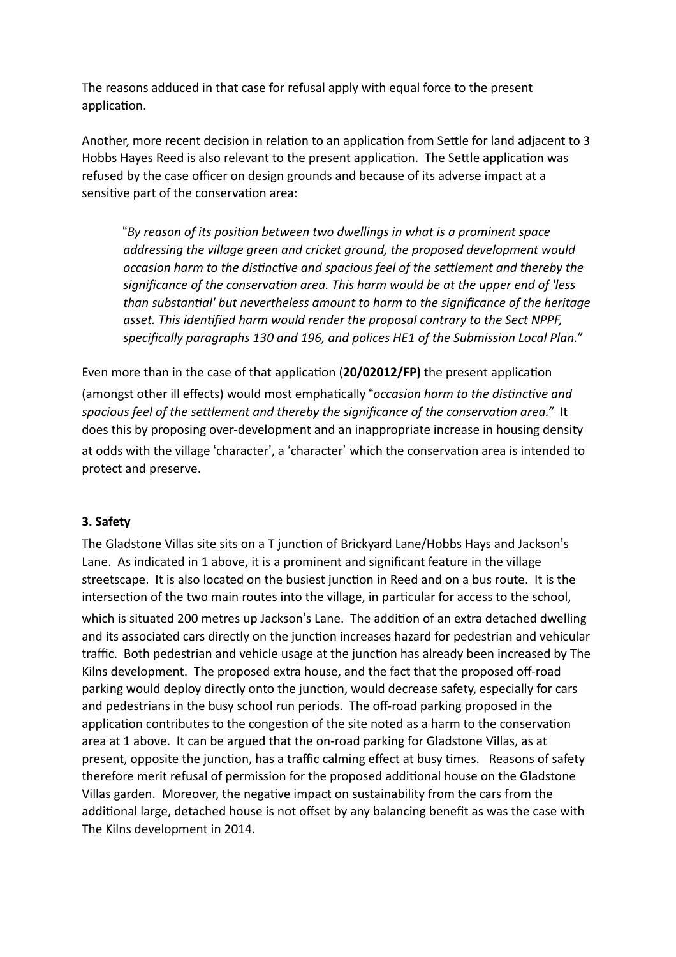The reasons adduced in that case for refusal apply with equal force to the present application.

Another, more recent decision in relation to an application from Settle for land adjacent to 3 Hobbs Hayes Reed is also relevant to the present application. The Settle application was refused by the case officer on design grounds and because of its adverse impact at a sensitive part of the conservation area:

"Bv reason of its position between two dwellings in what is a prominent space *addressing the village green and cricket ground, the proposed development would occasion harm to the distinctive and spacious feel of the settlement and thereby the* significance of the conservation area. This harm would be at the upper end of 'less *than substantial' but nevertheless amount to harm to the significance of the heritage* asset. This identified harm would render the proposal contrary to the Sect NPPF, *specifically paragraphs 130 and 196, and polices HE1 of the Submission Local Plan."* 

Even more than in the case of that application (20/02012/FP) the present application (amongst other ill effects) would most emphatically "occasion harm to the distinctive and spacious feel of the settlement and thereby the significance of the conservation area." It does this by proposing over-development and an inappropriate increase in housing density at odds with the village 'character', a 'character' which the conservation area is intended to protect and preserve.

## **3. Safety**

The Gladstone Villas site sits on a T junction of Brickyard Lane/Hobbs Hays and Jackson's Lane. As indicated in 1 above, it is a prominent and significant feature in the village streetscape. It is also located on the busiest junction in Reed and on a bus route. It is the intersection of the two main routes into the village, in particular for access to the school, which is situated 200 metres up Jackson's Lane. The addition of an extra detached dwelling and its associated cars directly on the junction increases hazard for pedestrian and vehicular traffic. Both pedestrian and vehicle usage at the junction has already been increased by The Kilns development. The proposed extra house, and the fact that the proposed off-road parking would deploy directly onto the junction, would decrease safety, especially for cars and pedestrians in the busy school run periods. The off-road parking proposed in the application contributes to the congestion of the site noted as a harm to the conservation area at 1 above. It can be argued that the on-road parking for Gladstone Villas, as at present, opposite the junction, has a traffic calming effect at busy times. Reasons of safety therefore merit refusal of permission for the proposed additional house on the Gladstone Villas garden. Moreover, the negative impact on sustainability from the cars from the additional large, detached house is not offset by any balancing benefit as was the case with The Kilns development in 2014.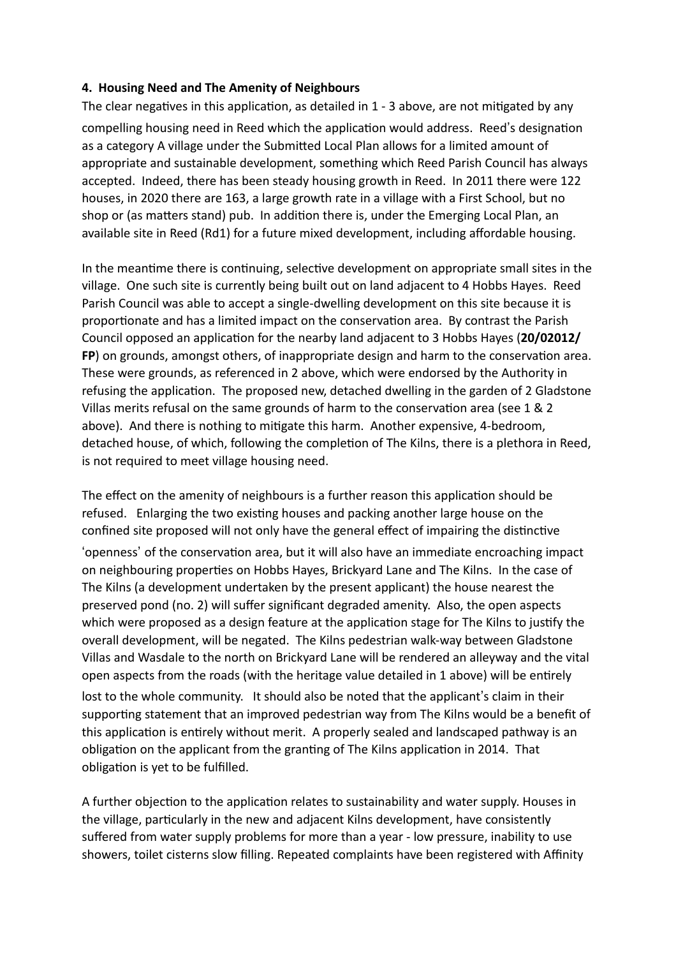## **4. Housing Need and The Amenity of Neighbours**

The clear negatives in this application, as detailed in  $1 - 3$  above, are not mitigated by any compelling housing need in Reed which the application would address. Reed's designation as a category A village under the Submitted Local Plan allows for a limited amount of appropriate and sustainable development, something which Reed Parish Council has always accepted. Indeed, there has been steady housing growth in Reed. In 2011 there were 122 houses, in 2020 there are 163, a large growth rate in a village with a First School, but no shop or (as matters stand) pub. In addition there is, under the Emerging Local Plan, an available site in Reed (Rd1) for a future mixed development, including affordable housing.

In the meantime there is continuing, selective development on appropriate small sites in the village. One such site is currently being built out on land adjacent to 4 Hobbs Hayes. Reed Parish Council was able to accept a single-dwelling development on this site because it is proportionate and has a limited impact on the conservation area. By contrast the Parish Council opposed an application for the nearby land adjacent to 3 Hobbs Hayes (20/02012/ **FP**) on grounds, amongst others, of inappropriate design and harm to the conservation area. These were grounds, as referenced in 2 above, which were endorsed by the Authority in refusing the application. The proposed new, detached dwelling in the garden of 2 Gladstone Villas merits refusal on the same grounds of harm to the conservation area (see  $1 & 2$ above). And there is nothing to mitigate this harm. Another expensive, 4-bedroom, detached house, of which, following the completion of The Kilns, there is a plethora in Reed, is not required to meet village housing need.

The effect on the amenity of neighbours is a further reason this application should be refused. Enlarging the two existing houses and packing another large house on the confined site proposed will not only have the general effect of impairing the distinctive 'openness' of the conservation area, but it will also have an immediate encroaching impact on neighbouring properties on Hobbs Hayes, Brickyard Lane and The Kilns. In the case of The Kilns (a development undertaken by the present applicant) the house nearest the preserved pond (no. 2) will suffer significant degraded amenity. Also, the open aspects which were proposed as a design feature at the application stage for The Kilns to justify the overall development, will be negated. The Kilns pedestrian walk-way between Gladstone Villas and Wasdale to the north on Brickyard Lane will be rendered an alleyway and the vital open aspects from the roads (with the heritage value detailed in 1 above) will be entirely lost to the whole community. It should also be noted that the applicant's claim in their supporting statement that an improved pedestrian way from The Kilns would be a benefit of this application is entirely without merit. A properly sealed and landscaped pathway is an obligation on the applicant from the granting of The Kilns application in 2014. That obligation is yet to be fulfilled.

A further objection to the application relates to sustainability and water supply. Houses in the village, particularly in the new and adjacent Kilns development, have consistently suffered from water supply problems for more than a year - low pressure, inability to use showers, toilet cisterns slow filling. Repeated complaints have been registered with Affinity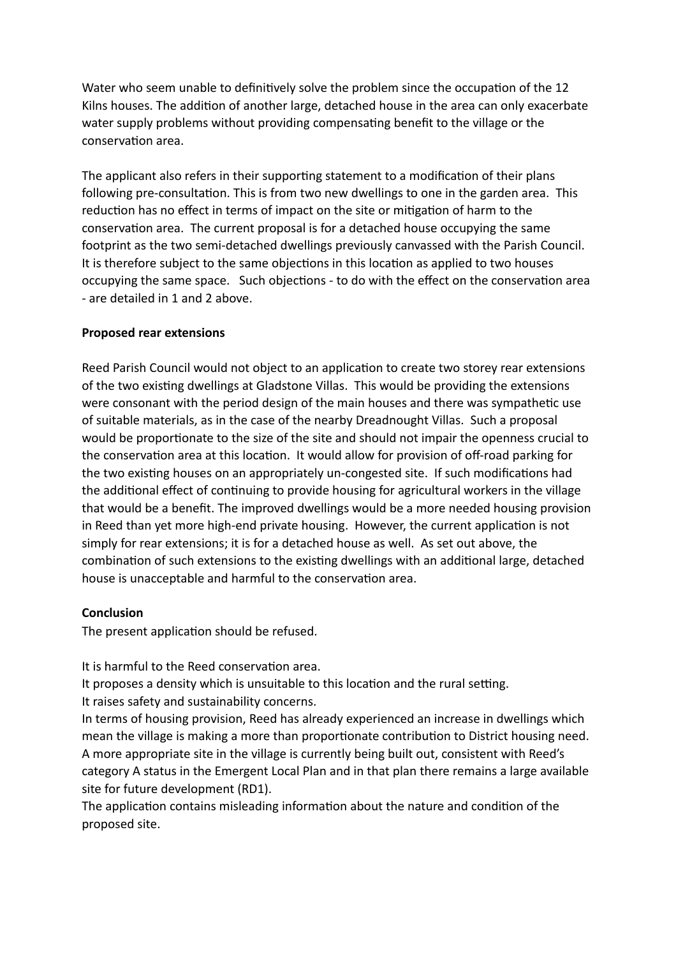Water who seem unable to definitively solve the problem since the occupation of the 12 Kilns houses. The addition of another large, detached house in the area can only exacerbate water supply problems without providing compensating benefit to the village or the conservation area.

The applicant also refers in their supporting statement to a modification of their plans following pre-consultation. This is from two new dwellings to one in the garden area. This reduction has no effect in terms of impact on the site or mitigation of harm to the conservation area. The current proposal is for a detached house occupying the same footprint as the two semi-detached dwellings previously canvassed with the Parish Council. It is therefore subject to the same objections in this location as applied to two houses occupying the same space. Such objections - to do with the effect on the conservation area - are detailed in 1 and 2 above.

#### **Proposed rear extensions**

Reed Parish Council would not object to an application to create two storey rear extensions of the two existing dwellings at Gladstone Villas. This would be providing the extensions were consonant with the period design of the main houses and there was sympathetic use of suitable materials, as in the case of the nearby Dreadnought Villas. Such a proposal would be proportionate to the size of the site and should not impair the openness crucial to the conservation area at this location. It would allow for provision of off-road parking for the two existing houses on an appropriately un-congested site. If such modifications had the additional effect of continuing to provide housing for agricultural workers in the village that would be a benefit. The improved dwellings would be a more needed housing provision in Reed than yet more high-end private housing. However, the current application is not simply for rear extensions; it is for a detached house as well. As set out above, the combination of such extensions to the existing dwellings with an additional large, detached house is unacceptable and harmful to the conservation area.

#### **Conclusion**

The present application should be refused.

It is harmful to the Reed conservation area.

It proposes a density which is unsuitable to this location and the rural setting.

It raises safety and sustainability concerns.

In terms of housing provision, Reed has already experienced an increase in dwellings which mean the village is making a more than proportionate contribution to District housing need. A more appropriate site in the village is currently being built out, consistent with Reed's category A status in the Emergent Local Plan and in that plan there remains a large available site for future development (RD1).

The application contains misleading information about the nature and condition of the proposed site.